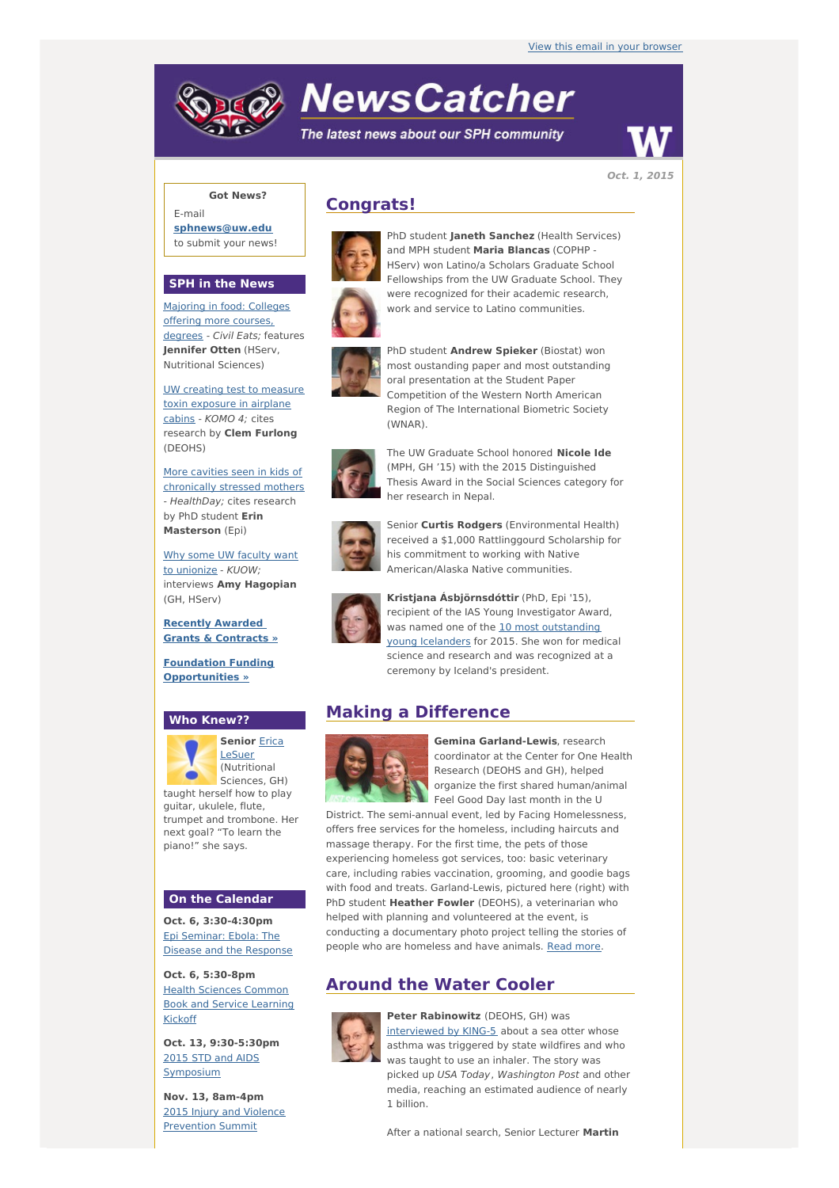# **NewsCatcher**

The latest news about our SPH community



**Oct. 1, 2015**

## **Got News?**

E-mail **[sphnews@uw.edu](mailto:sphnews@uw.edu)** to submit your news!

#### **SPH in the News**

[Majoring](http://engage.washington.edu/site/R?i=FOaiIj3x3mpeUA0KX0n5nw) in food: Colleges offering more courses, degrees - Civil Eats; features **Jennifer Otten** (HServ, Nutritional Sciences)

UW creating test to measure toxin [exposure](http://engage.washington.edu/site/R?i=GFOU512ymA94on-0e-bR2g) in airplane cabins - KOMO 4; cites research by **Clem Furlong** (DEOHS)

More cavities seen in kids of [chronically](http://engage.washington.edu/site/R?i=xyqt6FI0mk9ydSr6y9AliA) stressed mothers - HealthDay; cites research by PhD student **Erin Masterson** (Epi)

Why some UW faculty want to [unionize](http://engage.washington.edu/site/R?i=kM_9lEkaevY7hqT4N1JxqA) - KUOW; interviews **Amy Hagopian** (GH, HServ)

**Recently Awarded Grants & [Contracts](http://engage.washington.edu/site/R?i=8XkSiC8r2Rg7rbVEVX8XKg) »**

**Foundation Funding [Opportunities](http://engage.washington.edu/site/R?i=hHPIFuBXU09Um4fsEWbOYg) »**

#### **Who Knew??**



**[Senior](http://engage.washington.edu/site/R?i=kB9CFW3DIStcb9fUAuTvMw)** Erica LeSuer (Nutritional Sciences, GH)

taught herself how to play guitar, ukulele, flute, trumpet and trombone. Her next goal? "To learn the piano!" she says.

#### **On the Calendar**

**Oct. 6, 3:30-4:30pm** Epi [Seminar:](http://engage.washington.edu/site/R?i=MaunoyL8VPmGgNxCraU_Mw) Ebola: The Disease and the Response

**Oct. 6, 5:30-8pm** Health Sciences [Common](http://engage.washington.edu/site/R?i=hAactQAh41OqaUAWilMqQw) Book and Service Learning Kickoff

**Oct. 13, 9:30-5:30pm** [2015](http://engage.washington.edu/site/R?i=A8mNc4cudrrRRE-wVH6wPw) STD and AIDS [Symposium](http://engage.washington.edu/site/R?i=WKJv7ZagLxDtaiAbYHjZ0g)

**Nov. 13, 8am-4pm** 2015 Injury and Violence [Prevention](http://engage.washington.edu/site/R?i=nZmjjapa1LsZ7k9yhH_r3w) Summit

# **Congrats!**



PhD student **Janeth Sanchez** (Health Services) and MPH student **Maria Blancas** (COPHP - HServ) won Latino/a Scholars Graduate School Fellowships from the UW Graduate School. They were recognized for their academic research. work and service to Latino communities.



PhD student **Andrew Spieker** (Biostat) won most oustanding paper and most outstanding oral presentation at the Student Paper Competition of the Western North American Region of The International Biometric Society (WNAR).



The UW Graduate School honored **Nicole Ide** (MPH, GH '15) with the 2015 Distinguished Thesis Award in the Social Sciences category for her research in Nepal.



Senior **Curtis Rodgers** (Environmental Health) received a \$1,000 Rattlinggourd Scholarship for his commitment to working with Native American/Alaska Native communities.



**Kristjana Ásbjörnsdóttir** (PhD, Epi '15), recipient of the IAS Young Investigator Award, was named one of the 10 most [outstanding](http://engage.washington.edu/site/R?i=hr2s_vw7w8kp1CYB5KFTVQ) young Icelanders for 2015. She won for medical science and research and was recognized at a ceremony by Iceland's president.

# **Making a Difference**



**Gemina Garland-Lewis**, research coordinator at the Center for One Health Research (DEOHS and GH), helped organize the first shared human/animal Feel Good Day last month in the U

District. The semi-annual event, led by Facing Homelessness, offers free services for the homeless, including haircuts and massage therapy. For the first time, the pets of those experiencing homeless got services, too: basic veterinary care, including rabies vaccination, grooming, and goodie bags with food and treats. Garland-Lewis, pictured here (right) with PhD student **Heather Fowler** (DEOHS), a veterinarian who helped with planning and volunteered at the event, is conducting a documentary photo project telling the stories of people who are homeless and have animals. [Read](http://engage.washington.edu/site/R?i=9VAUbwXjpnz-gLC5M37IcQ) more.

# **Around the Water Cooler**



**Peter Rabinowitz** (DEOHS, GH) was [interviewed](http://engage.washington.edu/site/R?i=fQXix02Avz7iWpj2i9aIbQ) by KING-5 about a sea otter whose asthma was triggered by state wildfires and who was taught to use an inhaler. The story was picked up USA Today, Washington Post and other media, reaching an estimated audience of nearly 1 billion.

After a national search, Senior Lecturer **Martin**